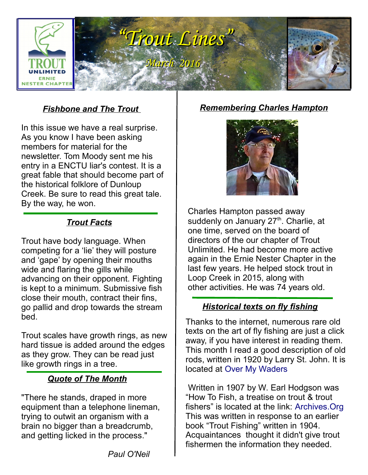

#### *Fishbone and The Trout*

In this issue we have a real surprise. As you know I have been asking members for material for the newsletter. Tom Moody sent me his entry in a ENCTU liar's contest. It is a great fable that should become part of the historical folklore of Dunloup Creek. Be sure to read this great tale. By the way, he won.

#### *Trout Facts*

Trout have body language. When competing for a 'lie' they will posture and 'gape' by opening their mouths wide and flaring the gills while advancing on their opponent. Fighting is kept to a minimum. Submissive fish close their mouth, contract their fins, go pallid and drop towards the stream bed.

Trout scales have growth rings, as new hard tissue is added around the edges as they grow. They can be read just like growth rings in a tree. i,

#### *Quote of The Month*

"There he stands, draped in more equipment than a telephone lineman, trying to outwit an organism with a brain no bigger than a breadcrumb, and getting licked in the process."

*Remembering Charles Hampton*



Charles Hampton passed away suddenly on January  $27<sup>th</sup>$ . Charlie, at one time, served on the board of directors of the our chapter of Trout Unlimited. He had become more active again in the Ernie Nester Chapter in the last few years. He helped stock trout in Loop Creek in 2015, along with other activities. He was 74 years old.

#### *Historical texts on fly fishing*

Thanks to the internet, numerous rare old texts on the art of fly fishing are just a click away, if you have interest in reading them. This month I read a good description of old rods, written in 1920 by Larry St. John. It is located at [Over My Waders](http://www.overmywaders.com/index.php?stjohnrod1)

Written in 1907 by W. Earl Hodgson was "How To Fish, a treatise on trout & trout fishers" is located at the link: [Archives.Org](https://archive.org/details/howtofishatreat00hodggoog) This was written in response to an earlier book "Trout Fishing" written in 1904. Acquaintances thought it didn't give trout fishermen the information they needed.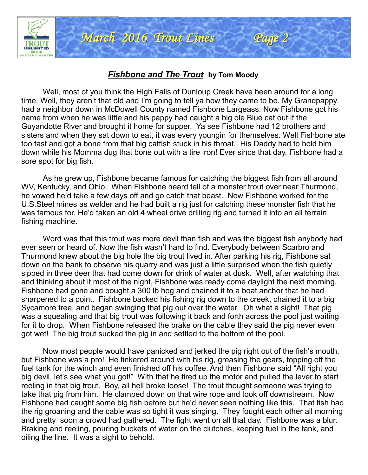

#### *Fishbone and The Trout* **by Tom Moody**

Well, most of you think the High Falls of Dunloup Creek have been around for a long time. Well, they aren't that old and I'm going to tell ya how they came to be. My Grandpappy had a neighbor down in McDowell County named Fishbone Largeass. Now Fishbone got his name from when he was little and his pappy had caught a big ole Blue cat out if the Guyandotte River and brought it home for supper. Ya see Fishbone had 12 brothers and sisters and when they sat down to eat, it was every youngin for themselves. Well Fishbone ate too fast and got a bone from that big catfish stuck in his throat. His Daddy had to hold him down while his Momma dug that bone out with a tire iron! Ever since that day, Fishbone had a sore spot for big fish.

As he grew up, Fishbone became famous for catching the biggest fish from all around WV, Kentucky, and Ohio. When Fishbone heard tell of a monster trout over near Thurmond, he vowed he'd take a few days off and go catch that beast. Now Fishbone worked for the U.S.Steel mines as welder and he had built a rig just for catching these monster fish that he was famous for. He'd taken an old 4 wheel drive drilling rig and turned it into an all terrain fishing machine.

Word was that this trout was more devil than fish and was the biggest fish anybody had ever seen or heard of. Now the fish wasn't hard to find. Everybody between Scarbro and Thurmond knew about the big hole the big trout lived in. After parking his rig, Fishbone sat down on the bank to observe his quarry and was just a little surprised when the fish quietly sipped in three deer that had come down for drink of water at dusk. Well, after watching that and thinking about it most of the night, Fishbone was ready come daylight the next morning. Fishbone had gone and bought a 300 lb hog and chained it to a boat anchor that he had sharpened to a point. Fishbone backed his fishing rig down to the creek, chained it to a big Sycamore tree, and began swinging that pig out over the water. Oh what a sight! That pig was a squealing and that big trout was following it back and forth across the pool just waiting for it to drop. When Fishbone released the brake on the cable they said the pig never even got wet! The big trout sucked the pig in and settled to the bottom of the pool.

Now most people would have panicked and jerked the pig right out of the fish's mouth, but Fishbone was a pro! He tinkered around with his rig, greasing the gears, topping off the fuel tank for the winch and even finished off his coffee. And then Fishbone said "All right you big devil, let's see what you got!" With that he fired up the motor and pulled the lever to start reeling in that big trout. Boy, all hell broke loose! The trout thought someone was trying to take that pig from him. He clamped down on that wire rope and took off downstream. Now Fishbone had caught some big fish before but he'd never seen nothing like this. That fish had the rig groaning and the cable was so tight it was singing. They fought each other all morning and pretty soon a crowd had gathered. The fight went on all that day. Fishbone was a blur. Braking and reeling, pouring buckets of water on the clutches, keeping fuel in the tank, and oiling the line. It was a sight to behold.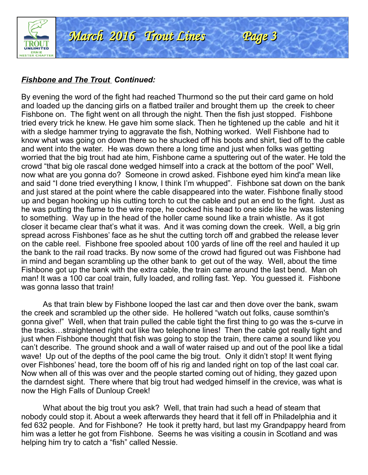

#### *Fishbone and The Trout Continued:*

By evening the word of the fight had reached Thurmond so the put their card game on hold and loaded up the dancing girls on a flatbed trailer and brought them up the creek to cheer Fishbone on. The fight went on all through the night. Then the fish just stopped. Fishbone tried every trick he knew. He gave him some slack. Then he tightened up the cable and hit it with a sledge hammer trying to aggravate the fish, Nothing worked. Well Fishbone had to know what was going on down there so he shucked off his boots and shirt, tied off to the cable and went into the water. He was down there a long time and just when folks was getting worried that the big trout had ate him, Fishbone came a sputtering out of the water. He told the crowd "that big ole rascal done wedged himself into a crack at the bottom of the pool" Well, now what are you gonna do? Someone in crowd asked. Fishbone eyed him kind'a mean like and said "I done tried everything I know, I think I'm whupped". Fishbone sat down on the bank and just stared at the point where the cable disappeared into the water. Fishbone finally stood up and began hooking up his cutting torch to cut the cable and put an end to the fight. Just as he was putting the flame to the wire rope, he cocked his head to one side like he was listening to something. Way up in the head of the holler came sound like a train whistle. As it got closer it became clear that's what it was. And it was coming down the creek. Well, a big grin spread across Fishbones' face as he shut the cutting torch off and grabbed the release lever on the cable reel. Fishbone free spooled about 100 yards of line off the reel and hauled it up the bank to the rail road tracks. By now some of the crowd had figured out was Fishbone had in mind and began scrambling up the other bank to get out of the way. Well, about the time Fishbone got up the bank with the extra cable, the train came around the last bend. Man oh man! It was a 100 car coal train, fully loaded, and rolling fast. Yep. You guessed it. Fishbone was gonna lasso that train!

As that train blew by Fishbone looped the last car and then dove over the bank, swam the creek and scrambled up the other side. He hollered "watch out folks, cause somthin's gonna give!" Well, when that train pulled the cable tight the first thing to go was the s-curve in the tracks…straightened right out like two telephone lines! Then the cable got really tight and just when Fishbone thought that fish was going to stop the train, there came a sound like you can't describe. The ground shook and a wall of water raised up and out of the pool like a tidal wave! Up out of the depths of the pool came the big trout. Only it didn't stop! It went flying over Fishbones' head, tore the boom off of his rig and landed right on top of the last coal car. Now when all of this was over and the people started coming out of hiding, they gazed upon the darndest sight. There where that big trout had wedged himself in the crevice, was what is now the High Falls of Dunloup Creek!

What about the big trout you ask? Well, that train had such a head of steam that nobody could stop it. About a week afterwards they heard that it fell off in Philadelphia and it fed 632 people. And for Fishbone? He took it pretty hard, but last my Grandpappy heard from him was a letter he got from Fishbone. Seems he was visiting a cousin in Scotland and was helping him try to catch a "fish" called Nessie.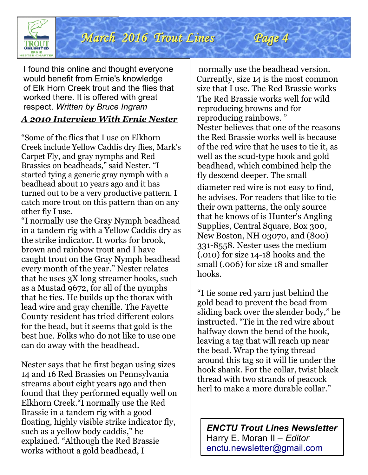

I found this online and thought everyone would benefit from Ernie's knowledge of Elk Horn Creek trout and the flies that worked there. It is offered with great respect. *Written by Bruce Ingram*

#### *A 2010 Interview With Ernie Nester*

"Some of the flies that I use on Elkhorn Creek include Yellow Caddis dry flies, Mark's Carpet Fly, and gray nymphs and Red Brassies on beadheads," said Nester. "I started tying a generic gray nymph with a beadhead about 10 years ago and it has turned out to be a very productive pattern. I catch more trout on this pattern than on any other fly I use.

 can do away with the beadhead. "I normally use the Gray Nymph beadhead in a tandem rig with a Yellow Caddis dry as the strike indicator. It works for brook, brown and rainbow trout and I have caught trout on the Gray Nymph beadhead every month of the year." Nester relates that he uses 3X long streamer hooks, such as a Mustad 9672, for all of the nymphs that he ties. He builds up the thorax with lead wire and gray chenille. The Fayette County resident has tried different colors for the bead, but it seems that gold is the best hue. Folks who do not like to use one

Nester says that he first began using sizes 14 and 16 Red Brassies on Pennsylvania streams about eight years ago and then found that they performed equally well on Elkhorn Creek."I normally use the Red Brassie in a tandem rig with a good floating, highly visible strike indicator fly, such as a yellow body caddis," he explained. "Although the Red Brassie works without a gold beadhead, I

normally use the beadhead version. Currently, size 14 is the most common size that I use. The Red Brassie works The Red Brassie works well for wild reproducing browns and for reproducing rainbows. " Nester believes that one of the reasons the Red Brassie works well is because of the red wire that he uses to tie it, as well as the scud-type hook and gold beadhead, which combined help the fly descend deeper. The small

Page 4

diameter red wire is not easy to find, he advises. For readers that like to tie their own patterns, the only source that he knows of is Hunter's Angling Supplies, Central Square, Box 300, New Boston, NH 03070, and (800) 331-8558. Nester uses the medium (.010) for size 14-18 hooks and the small (.006) for size 18 and smaller hooks.

"I tie some red yarn just behind the gold bead to prevent the bead from sliding back over the slender body," he instructed. "Tie in the red wire about halfway down the bend of the hook, leaving a tag that will reach up near the bead. Wrap the tying thread around this tag so it will lie under the hook shank. For the collar, twist black thread with two strands of peacock herl to make a more durable collar."

*ENCTU Trout Lines Newsletter* Harry E. Moran II – *Editor* [enctu.newsletter@gmail.com](mailto:enctu.newsletter@gmail.com)